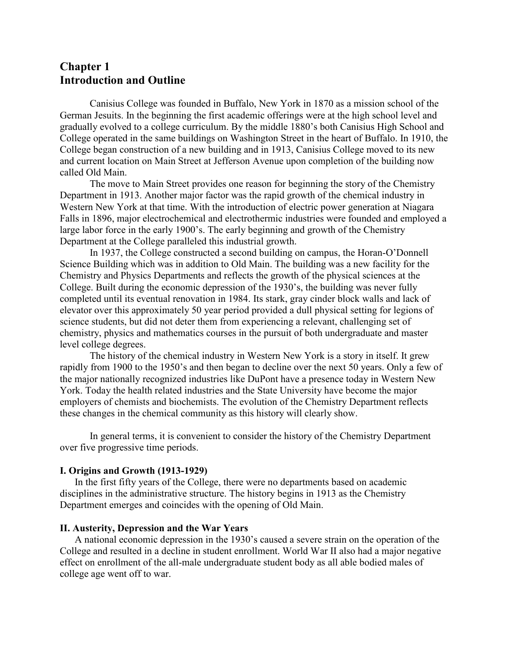# **Chapter 1 Introduction and Outline**

Canisius College was founded in Buffalo, New York in 1870 as a mission school of the German Jesuits. In the beginning the first academic offerings were at the high school level and gradually evolved to a college curriculum. By the middle 1880's both Canisius High School and College operated in the same buildings on Washington Street in the heart of Buffalo. In 1910, the College began construction of a new building and in 1913, Canisius College moved to its new and current location on Main Street at Jefferson Avenue upon completion of the building now called Old Main.

The move to Main Street provides one reason for beginning the story of the Chemistry Department in 1913. Another major factor was the rapid growth of the chemical industry in Western New York at that time. With the introduction of electric power generation at Niagara Falls in 1896, major electrochemical and electrothermic industries were founded and employed a large labor force in the early 1900's. The early beginning and growth of the Chemistry Department at the College paralleled this industrial growth.

In 1937, the College constructed a second building on campus, the Horan-O'Donnell Science Building which was in addition to Old Main. The building was a new facility for the Chemistry and Physics Departments and reflects the growth of the physical sciences at the College. Built during the economic depression of the 1930's, the building was never fully completed until its eventual renovation in 1984. Its stark, gray cinder block walls and lack of elevator over this approximately 50 year period provided a dull physical setting for legions of science students, but did not deter them from experiencing a relevant, challenging set of chemistry, physics and mathematics courses in the pursuit of both undergraduate and master level college degrees.

The history of the chemical industry in Western New York is a story in itself. It grew rapidly from 1900 to the 1950's and then began to decline over the next 50 years. Only a few of the major nationally recognized industries like DuPont have a presence today in Western New York. Today the health related industries and the State University have become the major employers of chemists and biochemists. The evolution of the Chemistry Department reflects these changes in the chemical community as this history will clearly show.

In general terms, it is convenient to consider the history of the Chemistry Department over five progressive time periods.

# **I. Origins and Growth (1913-1929)**

In the first fifty years of the College, there were no departments based on academic disciplines in the administrative structure. The history begins in 1913 as the Chemistry Department emerges and coincides with the opening of Old Main.

#### **II. Austerity, Depression and the War Years**

A national economic depression in the 1930's caused a severe strain on the operation of the College and resulted in a decline in student enrollment. World War II also had a major negative effect on enrollment of the all-male undergraduate student body as all able bodied males of college age went off to war.